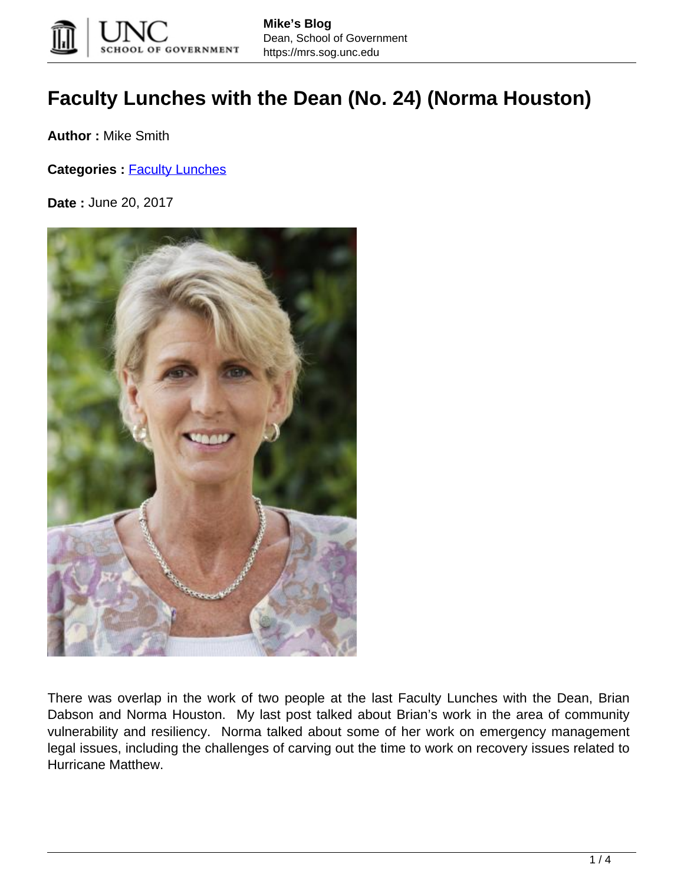

## **Faculty Lunches with the Dean (No. 24) (Norma Houston)**

**Author :** Mike Smith

**Categories : [Faculty Lunches](https://mrs.sog.unc.edu/category/faculty-lunches/)** 

**Date :** June 20, 2017



There was overlap in the work of two people at the last Faculty Lunches with the Dean, Brian Dabson and Norma Houston. My last post talked about Brian's work in the area of community vulnerability and resiliency. Norma talked about some of her work on emergency management legal issues, including the challenges of carving out the time to work on recovery issues related to Hurricane Matthew.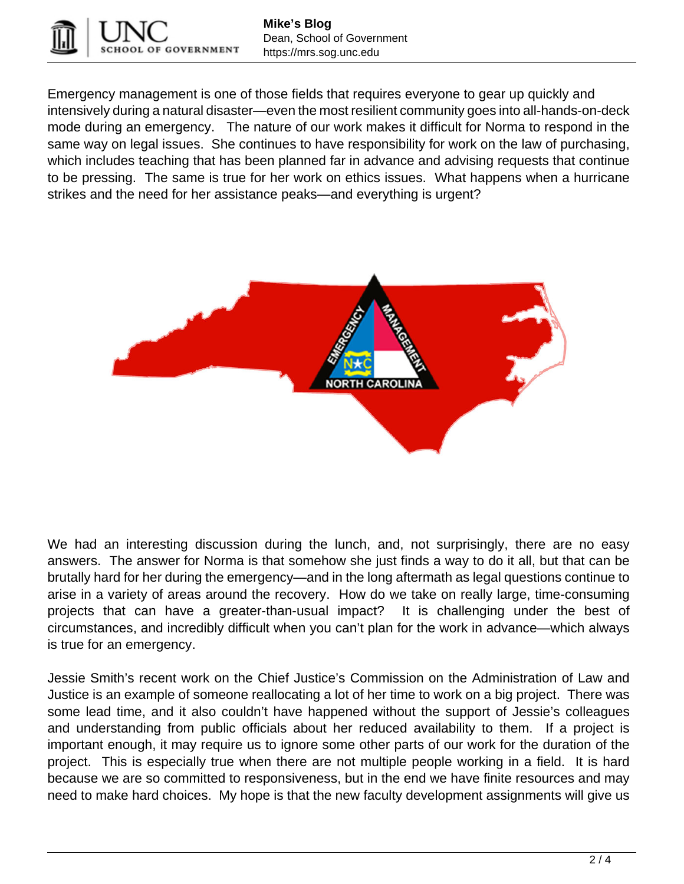

Emergency management is one of those fields that requires everyone to gear up quickly and intensively during a natural disaster—even the most resilient community goes into all-hands-on-deck mode during an emergency. The nature of our work makes it difficult for Norma to respond in the same way on legal issues. She continues to have responsibility for work on the law of purchasing, which includes teaching that has been planned far in advance and advising requests that continue to be pressing. The same is true for her work on ethics issues. What happens when a hurricane strikes and the need for her assistance peaks—and everything is urgent?



We had an interesting discussion during the lunch, and, not surprisingly, there are no easy answers. The answer for Norma is that somehow she just finds a way to do it all, but that can be brutally hard for her during the emergency—and in the long aftermath as legal questions continue to arise in a variety of areas around the recovery. How do we take on really large, time-consuming projects that can have a greater-than-usual impact? It is challenging under the best of circumstances, and incredibly difficult when you can't plan for the work in advance—which always is true for an emergency.

Jessie Smith's recent work on the Chief Justice's Commission on the Administration of Law and Justice is an example of someone reallocating a lot of her time to work on a big project. There was some lead time, and it also couldn't have happened without the support of Jessie's colleagues and understanding from public officials about her reduced availability to them. If a project is important enough, it may require us to ignore some other parts of our work for the duration of the project. This is especially true when there are not multiple people working in a field. It is hard because we are so committed to responsiveness, but in the end we have finite resources and may need to make hard choices. My hope is that the new faculty development assignments will give us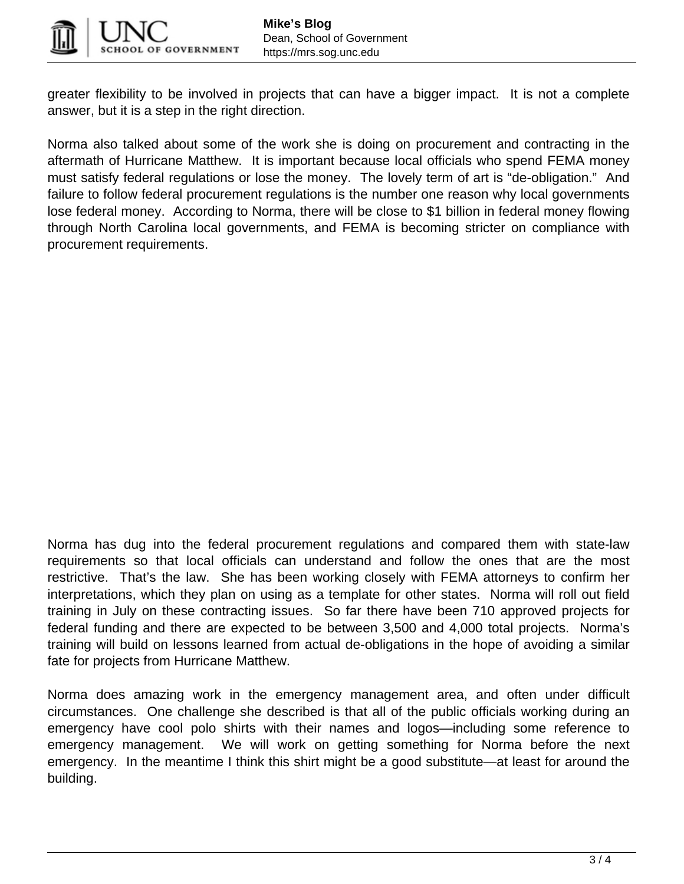

greater flexibility to be involved in projects that can have a bigger impact. It is not a complete answer, but it is a step in the right direction.

Norma also talked about some of the work she is doing on procurement and contracting in the aftermath of Hurricane Matthew. It is important because local officials who spend FEMA money must satisfy federal regulations or lose the money. The lovely term of art is "de-obligation." And failure to follow federal procurement regulations is the number one reason why local governments lose federal money. According to Norma, there will be close to \$1 billion in federal money flowing through North Carolina local governments, and FEMA is becoming stricter on compliance with procurement requirements.

Norma has dug into the federal procurement regulations and compared them with state-law requirements so that local officials can understand and follow the ones that are the most restrictive. That's the law. She has been working closely with FEMA attorneys to confirm her interpretations, which they plan on using as a template for other states. Norma will roll out field training in July on these contracting issues. So far there have been 710 approved projects for federal funding and there are expected to be between 3,500 and 4,000 total projects. Norma's training will build on lessons learned from actual de-obligations in the hope of avoiding a similar fate for projects from Hurricane Matthew.

Norma does amazing work in the emergency management area, and often under difficult circumstances. One challenge she described is that all of the public officials working during an emergency have cool polo shirts with their names and logos—including some reference to emergency management. We will work on getting something for Norma before the next emergency. In the meantime I think this shirt might be a good substitute—at least for around the building.